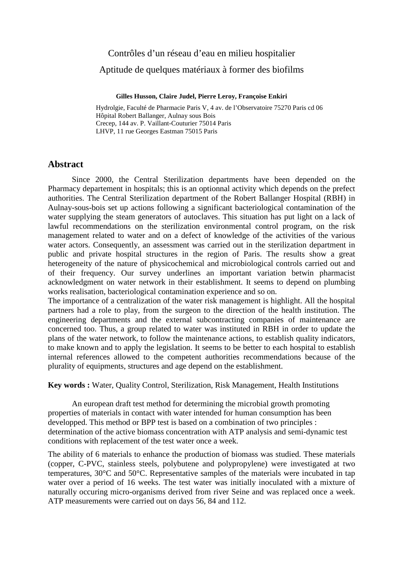# Contrôles d'un réseau d'eau en milieu hospitalier

### Aptitude de quelques matériaux à former des biofilms

#### **Gilles Husson, Claire Judel, Pierre Leroy, Françoise Enkiri**

Hydrolgie, Faculté de Pharmacie Paris V, 4 av. de l'Observatoire 75270 Paris cd 06 Hôpital Robert Ballanger, Aulnay sous Bois Crecep, 144 av. P. Vaillant-Couturier 75014 Paris LHVP, 11 rue Georges Eastman 75015 Paris

### **Abstract**

Since 2000, the Central Sterilization departments have been depended on the Pharmacy departement in hospitals; this is an optionnal activity which depends on the prefect authorities. The Central Sterilization department of the Robert Ballanger Hospital (RBH) in Aulnay-sous-bois set up actions following a significant bacteriological contamination of the water supplying the steam generators of autoclaves. This situation has put light on a lack of lawful recommendations on the sterilization environmental control program, on the risk management related to water and on a defect of knowledge of the activities of the various water actors. Consequently, an assessment was carried out in the sterilization department in public and private hospital structures in the region of Paris. The results show a great heterogeneity of the nature of physicochemical and microbiological controls carried out and of their frequency. Our survey underlines an important variation betwin pharmacist acknowledgment on water network in their establishment. It seems to depend on plumbing works realisation, bacteriological contamination experience and so on.

The importance of a centralization of the water risk management is highlight. All the hospital partners had a role to play, from the surgeon to the direction of the health institution. The engineering departments and the external subcontracting companies of maintenance are concerned too. Thus, a group related to water was instituted in RBH in order to update the plans of the water network, to follow the maintenance actions, to establish quality indicators, to make known and to apply the legislation. It seems to be better to each hospital to establish internal references allowed to the competent authorities recommendations because of the plurality of equipments, structures and age depend on the establishment.

**Key words :** Water, Quality Control, Sterilization, Risk Management, Health Institutions

An european draft test method for determining the microbial growth promoting properties of materials in contact with water intended for human consumption has been developped. This method or BPP test is based on a combination of two principles : determination of the active biomass concentration with ATP analysis and semi-dynamic test conditions with replacement of the test water once a week.

The ability of 6 materials to enhance the production of biomass was studied. These materials (copper, C-PVC, stainless steels, polybutene and polypropylene) were investigated at two temperatures, 30°C and 50°C. Representative samples of the materials were incubated in tap water over a period of 16 weeks. The test water was initially inoculated with a mixture of naturally occuring micro-organisms derived from river Seine and was replaced once a week. ATP measurements were carried out on days 56, 84 and 112.